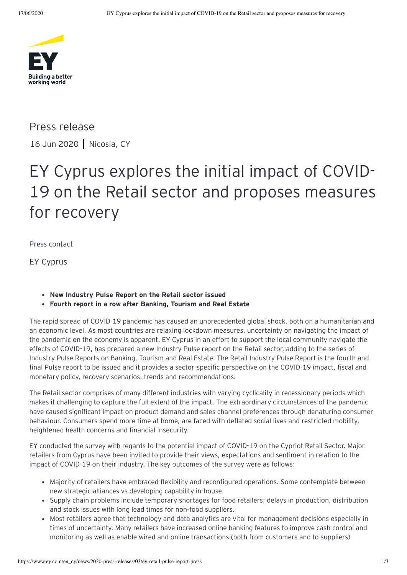

Press release 16 Jun 2020 | [Nicosia, CY](https://www.ey.com/en_gl/locations/cyprus#nicosia)

# EY Cyprus explores the initial impact of COVID-19 on the Retail sector and proposes measures for recovery

Press contact

[EY Cyprus](https://www.ey.com/en_cy/people/ey-cyprus)

- **New Industry Pulse Report on the Retail sector issued**
- **Fourth report in a row after Banking, Tourism and Real Estate**

The rapid spread of COVID-19 pandemic has caused an unprecedented global shock, both on a humanitarian and an economic level. As most countries are relaxing lockdown measures, uncertainty on navigating the impact of the pandemic on the economy is apparent. EY Cyprus in an effort to support the local community navigate the effects of COVID-19, has prepared a new Industry Pulse report on the Retail sector, adding to the series of Industry Pulse Reports on Banking, Tourism and Real Estate. The Retail Industry Pulse Report is the fourth and final Pulse report to be issued and it provides a sector-specific perspective on the COVID-19 impact, fiscal and monetary policy, recovery scenarios, trends and recommendations.

The Retail sector comprises of many different industries with varying cyclicality in recessionary periods which makes it challenging to capture the full extent of the impact. The extraordinary circumstances of the pandemic have caused significant impact on product demand and sales channel preferences through denaturing consumer behaviour. Consumers spend more time at home, are faced with deflated social lives and restricted mobility, heightened health concerns and financial insecurity.

EY conducted the survey with regards to the potential impact of COVID-19 on the Cypriot Retail Sector. Major retailers from Cyprus have been invited to provide their views, expectations and sentiment in relation to the impact of COVID-19 on their industry. The key outcomes of the survey were as follows:

- Majority of retailers have embraced flexibility and reconfigured operations. Some contemplate between new strategic alliances vs developing capability in-house.
- Supply chain problems include temporary shortages for food retailers; delays in production, distribution and stock issues with long lead times for non-food suppliers.
- Most retailers agree that technology and data analytics are vital for management decisions especially in times of uncertainty. Many retailers have increased online banking features to improve cash control and monitoring as well as enable wired and online transactions (both from customers and to suppliers)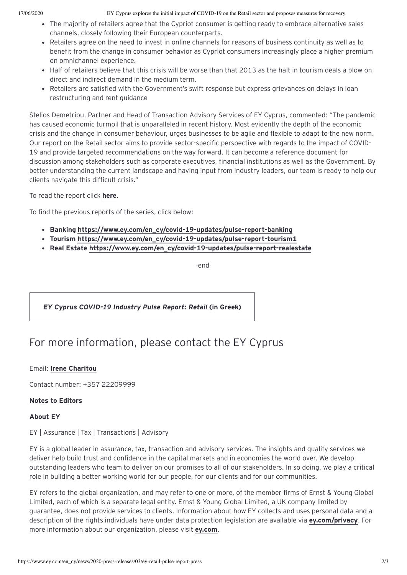- The majority of retailers agree that the Cypriot consumer is getting ready to embrace alternative sales channels, closely following their European counterparts.
- Retailers agree on the need to invest in online channels for reasons of business continuity as well as to benefit from the change in consumer behavior as Cypriot consumers increasingly place a higher premium on omnichannel experience.
- Half of retailers believe that this crisis will be worse than that 2013 as the halt in tourism deals a blow on direct and indirect demand in the medium term.
- Retailers are satisfied with the Government's swift response but express grievances on delays in loan restructuring and rent guidance

Stelios Demetriou, Partner and Head of Transaction Advisory Services of EY Cyprus, commented: "The pandemic has caused economic turmoil that is unparalleled in recent history. Most evidently the depth of the economic crisis and the change in consumer behaviour, urges businesses to be agile and flexible to adapt to the new norm. Our report on the Retail sector aims to provide sector-specific perspective with regards to the impact of COVID-19 and provide targeted recommendations on the way forward. It can become a reference document for discussion among stakeholders such as corporate executives, financial institutions as well as the Government. By better understanding the current landscape and having input from industry leaders, our team is ready to help our clients navigate this difficult crisis."

To read the report click **[here](https://www.ey.com/en_cy/covid-19-updates/covid-19-industry-pulse-report-retail-sector)**.

To find the previous reports of the series, click below:

- **Banking [https://www.ey.com/en\\_cy/covid-19-updates/pulse-report-banking](https://www.ey.com/en_cy/covid-19-updates/pulse-report-banking)**
- **Tourism [https://www.ey.com/en\\_cy/covid-19-updates/pulse-report-tourism1](https://www.ey.com/en_cy/covid-19-updates/pulse-report-tourism1)**
- **Real Estate [https://www.ey.com/en\\_cy/covid-19-updates/pulse-report-realestate](https://www.ey.com/en_cy/covid-19-updates/pulse-report-realestate)**

-end-

*EY Cyprus COVID-19 [Industry Pulse](https://assets.ey.com/content/dam/ey-sites/ey-com/en_cy/press-release/06/pdf/ey-pulse-press-release-retail.pdf) Report: Retail* **(in Greek)**

# For more information, please contact the EY Cyprus

## Email: **Irene [Charitou](https://www.ey.com/en_cy/snippet/contact-form?recipient=Irene&id=7RYCXc/zB7bSnfNZrF0kGE9d1WrbmN72P8oVm/xGwpg=)**

Contact number: +357 22209999

# **Notes to Editors**

## **About EY**

EY | Assurance | Tax | Transactions | Advisory

EY is a global leader in assurance, tax, transaction and advisory services. The insights and quality services we deliver help build trust and confidence in the capital markets and in economies the world over. We develop outstanding leaders who team to deliver on our promises to all of our stakeholders. In so doing, we play a critical role in building a better working world for our people, for our clients and for our communities.

EY refers to the global organization, and may refer to one or more, of the member firms of Ernst & Young Global Limited, each of which is a separate legal entity. Ernst & Young Global Limited, a UK company limited by guarantee, does not provide services to clients. Information about how EY collects and uses personal data and a description of the rights individuals have under data protection legislation are available via **[ey.com/privacy](https://www.ey.com/en_gl/privacy-statement)**. For more information about our organization, please visit **[ey.com](https://www.ey.com/en_gl)**.